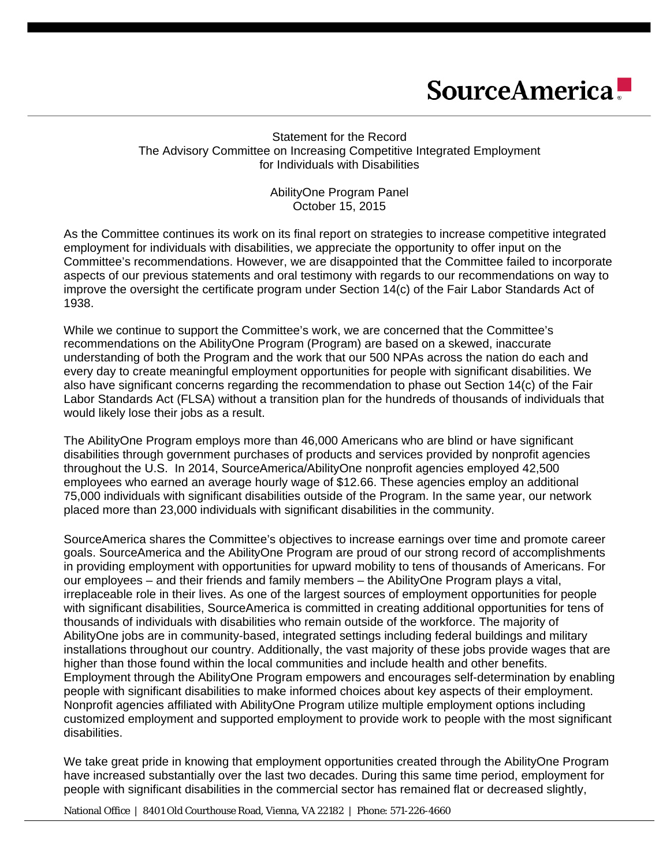Statement for the Record The Advisory Committee on Increasing Competitive Integrated Employment for Individuals with Disabilities

> AbilityOne Program Panel October 15, 2015

As the Committee continues its work on its final report on strategies to increase competitive integrated employment for individuals with disabilities, we appreciate the opportunity to offer input on the Committee's recommendations. However, we are disappointed that the Committee failed to incorporate aspects of our previous statements and oral testimony with regards to our recommendations on way to improve the oversight the certificate program under Section 14(c) of the Fair Labor Standards Act of 1938.

While we continue to support the Committee's work, we are concerned that the Committee's recommendations on the AbilityOne Program (Program) are based on a skewed, inaccurate understanding of both the Program and the work that our 500 NPAs across the nation do each and every day to create meaningful employment opportunities for people with significant disabilities. We also have significant concerns regarding the recommendation to phase out Section 14(c) of the Fair Labor Standards Act (FLSA) without a transition plan for the hundreds of thousands of individuals that would likely lose their jobs as a result.

The AbilityOne Program employs more than 46,000 Americans who are blind or have significant disabilities through government purchases of products and services provided by nonprofit agencies throughout the U.S. In 2014, SourceAmerica/AbilityOne nonprofit agencies employed 42,500 employees who earned an average hourly wage of \$12.66. These agencies employ an additional 75,000 individuals with significant disabilities outside of the Program. In the same year, our network placed more than 23,000 individuals with significant disabilities in the community.

SourceAmerica shares the Committee's objectives to increase earnings over time and promote career goals. SourceAmerica and the AbilityOne Program are proud of our strong record of accomplishments in providing employment with opportunities for upward mobility to tens of thousands of Americans. For our employees – and their friends and family members – the AbilityOne Program plays a vital, irreplaceable role in their lives. As one of the largest sources of employment opportunities for people with significant disabilities, SourceAmerica is committed in creating additional opportunities for tens of thousands of individuals with disabilities who remain outside of the workforce. The majority of AbilityOne jobs are in community-based, integrated settings including federal buildings and military installations throughout our country. Additionally, the vast majority of these jobs provide wages that are higher than those found within the local communities and include health and other benefits. Employment through the AbilityOne Program empowers and encourages self-determination by enabling people with significant disabilities to make informed choices about key aspects of their employment. Nonprofit agencies affiliated with AbilityOne Program utilize multiple employment options including customized employment and supported employment to provide work to people with the most significant disabilities.

We take great pride in knowing that employment opportunities created through the AbilityOne Program have increased substantially over the last two decades. During this same time period, employment for people with significant disabilities in the commercial sector has remained flat or decreased slightly,

National Office | 8401 Old Courthouse Road, Vienna, VA 22182 | Phone: 571-226-4660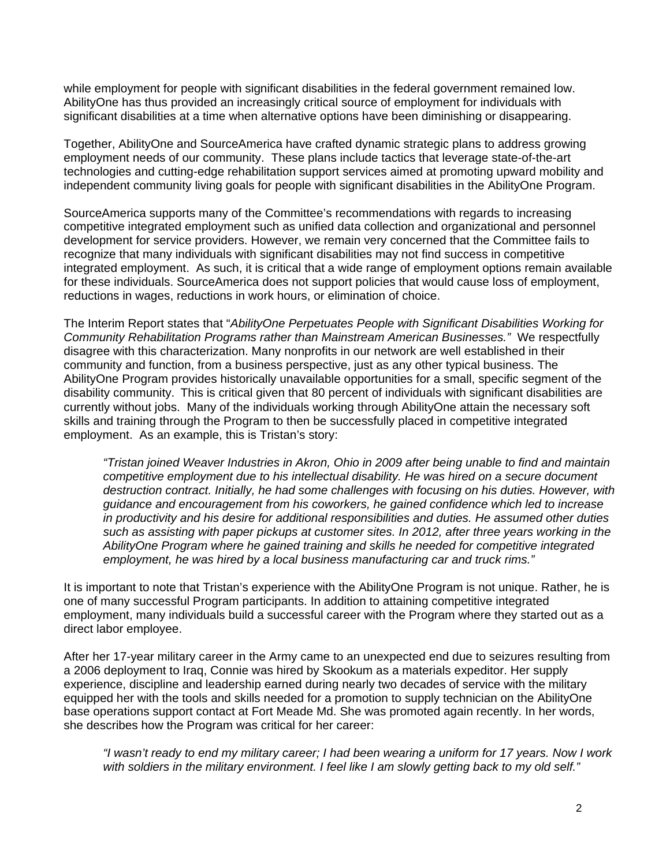while employment for people with significant disabilities in the federal government remained low. AbilityOne has thus provided an increasingly critical source of employment for individuals with significant disabilities at a time when alternative options have been diminishing or disappearing.

Together, AbilityOne and SourceAmerica have crafted dynamic strategic plans to address growing employment needs of our community. These plans include tactics that leverage state-of-the-art technologies and cutting-edge rehabilitation support services aimed at promoting upward mobility and independent community living goals for people with significant disabilities in the AbilityOne Program.

SourceAmerica supports many of the Committee's recommendations with regards to increasing competitive integrated employment such as unified data collection and organizational and personnel development for service providers. However, we remain very concerned that the Committee fails to recognize that many individuals with significant disabilities may not find success in competitive integrated employment. As such, it is critical that a wide range of employment options remain available for these individuals. SourceAmerica does not support policies that would cause loss of employment, reductions in wages, reductions in work hours, or elimination of choice.

The Interim Report states that "*AbilityOne Perpetuates People with Significant Disabilities Working for Community Rehabilitation Programs rather than Mainstream American Businesses."* We respectfully disagree with this characterization. Many nonprofits in our network are well established in their community and function, from a business perspective, just as any other typical business. The AbilityOne Program provides historically unavailable opportunities for a small, specific segment of the disability community. This is critical given that 80 percent of individuals with significant disabilities are currently without jobs. Many of the individuals working through AbilityOne attain the necessary soft skills and training through the Program to then be successfully placed in competitive integrated employment. As an example, this is Tristan's story:

*"Tristan joined Weaver Industries in Akron, Ohio in 2009 after being unable to find and maintain competitive employment due to his intellectual disability. He was hired on a secure document destruction contract. Initially, he had some challenges with focusing on his duties. However, with guidance and encouragement from his coworkers, he gained confidence which led to increase in productivity and his desire for additional responsibilities and duties. He assumed other duties such as assisting with paper pickups at customer sites. In 2012, after three years working in the AbilityOne Program where he gained training and skills he needed for competitive integrated employment, he was hired by a local business manufacturing car and truck rims."* 

It is important to note that Tristan's experience with the AbilityOne Program is not unique. Rather, he is one of many successful Program participants. In addition to attaining competitive integrated employment, many individuals build a successful career with the Program where they started out as a direct labor employee.

After her 17-year military career in the Army came to an unexpected end due to seizures resulting from a 2006 deployment to Iraq, Connie was hired by Skookum as a materials expeditor. Her supply experience, discipline and leadership earned during nearly two decades of service with the military equipped her with the tools and skills needed for a promotion to supply technician on the AbilityOne base operations support contact at Fort Meade Md. She was promoted again recently. In her words, she describes how the Program was critical for her career:

*"I wasn't ready to end my military career; I had been wearing a uniform for 17 years. Now I work with soldiers in the military environment. I feel like I am slowly getting back to my old self."*